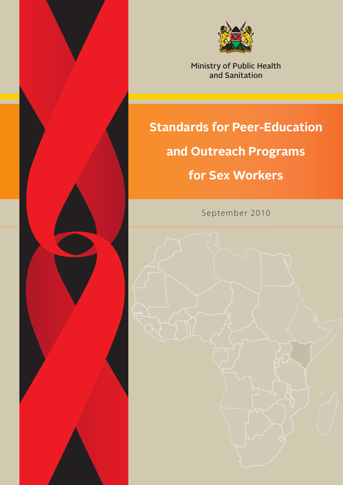

Ministry of Public Health and Sanitation

# **Standards for Peer-Education**

# **and Outreach Programs**

# **for Sex Workers**

September 2010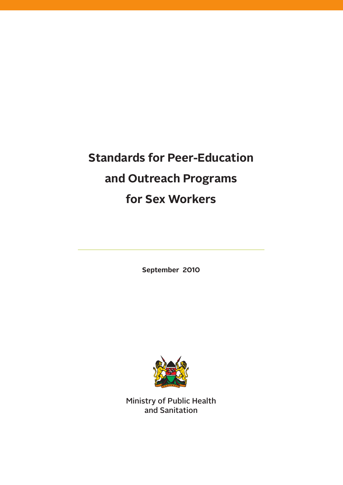# **Standards for Peer-Education and Outreach Programs for Sex Workers**

**September 2010**



Ministry of Public Health and Sanitation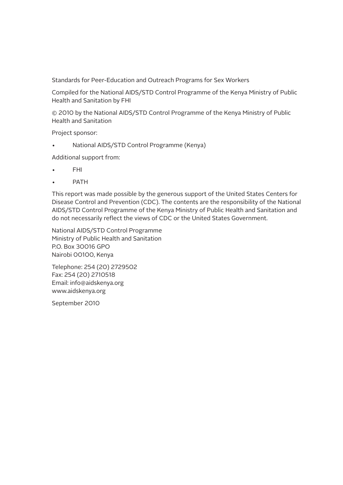Standards for Peer-Education and Outreach Programs for Sex Workers

Compiled for the National AIDS/STD Control Programme of the Kenya Ministry of Public Health and Sanitation by FHI

© 2010 by the National AIDS/STD Control Programme of the Kenya Ministry of Public Health and Sanitation

Project sponsor:

National AIDS/STD Control Programme (Kenya)

Additional support from:

- FHI
- **PATH**

This report was made possible by the generous support of the United States Centers for Disease Control and Prevention (CDC). The contents are the responsibility of the National AIDS/STD Control Programme of the Kenya Ministry of Public Health and Sanitation and do not necessarily reflect the views of CDC or the United States Government.

National AIDS/STD Control Programme Ministry of Public Health and Sanitation P.O. Box 30016 GPO Nairobi 00100, Kenya

Telephone: 254 (20) 2729502 Fax: 254 (20) 2710518 Email: info@aidskenya.org www.aidskenya.org

September 2010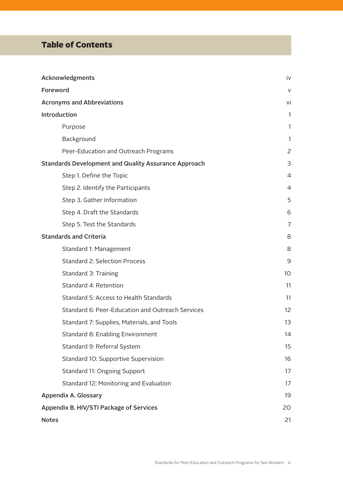## Table of Contents

| Acknowledgments                                             |                |
|-------------------------------------------------------------|----------------|
| Foreword                                                    |                |
| <b>Acronyms and Abbreviations</b>                           | vi             |
| Introduction                                                | 1              |
| Purpose                                                     | 1              |
| Background                                                  | 1              |
| Peer-Education and Outreach Programs                        | 2              |
| <b>Standards Development and Quality Assurance Approach</b> | 3              |
| Step 1. Define the Topic                                    | $\overline{4}$ |
| Step 2. Identify the Participants                           | 4              |
| Step 3. Gather Information                                  | 5              |
| Step 4. Draft the Standards                                 | 6              |
| Step 5. Test the Standards                                  | $\overline{7}$ |
| <b>Standards and Criteria</b>                               | 8              |
| Standard 1: Management                                      | 8              |
| <b>Standard 2: Selection Process</b>                        | 9              |
| Standard 3: Training                                        | 10             |
| Standard 4: Retention                                       | 11             |
| Standard 5: Access to Health Standards                      | 11             |
| Standard 6: Peer-Education and Outreach Services            | 12             |
| Standard 7: Supplies, Materials, and Tools                  | 13             |
| Standard 8: Enabling Environment                            | 14             |
| Standard 9: Referral System                                 | 15             |
| Standard 10: Supportive Supervision                         | 16             |
| Standard 11: Ongoing Support                                | 17             |
| Standard 12: Monitoring and Evaluation                      | 17             |
| <b>Appendix A. Glossary</b>                                 | 19             |
| Appendix B. HIV/STI Package of Services                     | 20             |
| <b>Notes</b>                                                | 21             |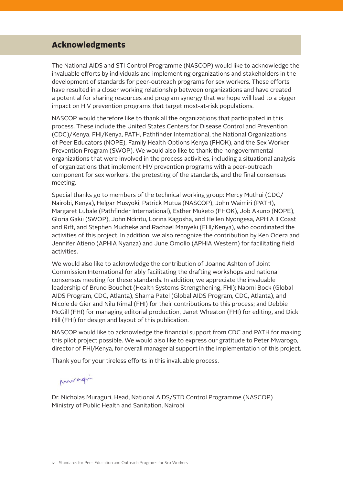## Acknowledgments

The National AIDS and STI Control Programme (NASCOP) would like to acknowledge the invaluable efforts by individuals and implementing organizations and stakeholders in the development of standards for peer-outreach programs for sex workers. These efforts have resulted in a closer working relationship between organizations and have created a potential for sharing resources and program synergy that we hope will lead to a bigger impact on HIV prevention programs that target most-at-risk populations.

NASCOP would therefore like to thank all the organizations that participated in this process. These include the United States Centers for Disease Control and Prevention (CDC)/Kenya, FHI/Kenya, PATH, Pathfinder International, the National Organizations of Peer Educators (NOPE), Family Health Options Kenya (FHOK), and the Sex Worker Prevention Program (SWOP). We would also like to thank the nongovernmental organizations that were involved in the process activities, including a situational analysis of organizations that implement HIV prevention programs with a peer-outreach component for sex workers, the pretesting of the standards, and the final consensus meeting.

Special thanks go to members of the technical working group: Mercy Muthui (CDC/ Nairobi, Kenya), Helgar Musyoki, Patrick Mutua (NASCOP), John Waimiri (PATH), Margaret Lubale (Pathfinder International), Esther Muketo (FHOK), Job Akuno (NOPE), Gloria Gakii (SWOP), John Ndiritu, Lorina Kagosha, and Hellen Nyongesa, APHIA II Coast and Rift, and Stephen Mucheke and Rachael Manyeki (FHI/Kenya), who coordinated the activities of this project. In addition, we also recognize the contribution by Ken Odera and Jennifer Atieno (APHIA Nyanza) and June Omollo (APHIA Western) for facilitating field activities.

We would also like to acknowledge the contribution of Joanne Ashton of Joint Commission International for ably facilitating the drafting workshops and national consensus meeting for these standards. In addition, we appreciate the invaluable leadership of Bruno Bouchet (Health Systems Strengthening, FHI); Naomi Bock (Global AIDS Program, CDC, Atlanta), Shama Patel (Global AIDS Program, CDC, Atlanta), and Nicole de Gier and Nilu Rimal (FHI) for their contributions to this process; and Debbie McGill (FHI) for managing editorial production, Janet Wheaton (FHI) for editing, and Dick Hill (FHI) for design and layout of this publication.

NASCOP would like to acknowledge the financial support from CDC and PATH for making this pilot project possible. We would also like to express our gratitude to Peter Mwarogo, director of FHI/Kenya, for overall managerial support in the implementation of this project.

Thank you for your tireless efforts in this invaluable process.

muragi

Dr. Nicholas Muraguri, Head, National AIDS/STD Control Programme (NASCOP) Ministry of Public Health and Sanitation, Nairobi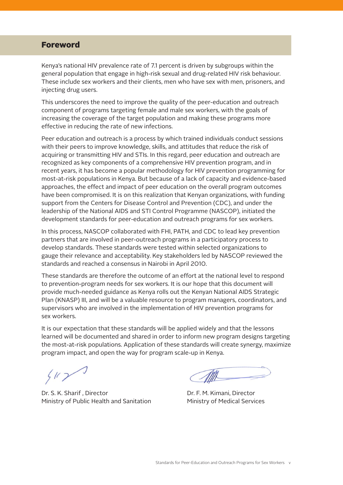## Foreword

Kenya's national HIV prevalence rate of 7.1 percent is driven by subgroups within the general population that engage in high-risk sexual and drug-related HIV risk behaviour. These include sex workers and their clients, men who have sex with men, prisoners, and injecting drug users.

This underscores the need to improve the quality of the peer-education and outreach component of programs targeting female and male sex workers, with the goals of increasing the coverage of the target population and making these programs more effective in reducing the rate of new infections.

Peer education and outreach is a process by which trained individuals conduct sessions with their peers to improve knowledge, skills, and attitudes that reduce the risk of acquiring or transmitting HIV and STIs. In this regard, peer education and outreach are recognized as key components of a comprehensive HIV prevention program, and in recent years, it has become a popular methodology for HIV prevention programming for most-at-risk populations in Kenya. But because of a lack of capacity and evidence-based approaches, the effect and impact of peer education on the overall program outcomes have been compromised. It is on this realization that Kenyan organizations, with funding support from the Centers for Disease Control and Prevention (CDC), and under the leadership of the National AIDS and STI Control Programme (NASCOP), initiated the development standards for peer-education and outreach programs for sex workers.

In this process, NASCOP collaborated with FHI, PATH, and CDC to lead key prevention partners that are involved in peer-outreach programs in a participatory process to develop standards. These standards were tested within selected organizations to gauge their relevance and acceptability. Key stakeholders led by NASCOP reviewed the standards and reached a consensus in Nairobi in April 2010.

These standards are therefore the outcome of an effort at the national level to respond to prevention-program needs for sex workers. It is our hope that this document will provide much-needed guidance as Kenya rolls out the Kenyan National AIDS Strategic Plan (KNASP) III, and will be a valuable resource to program managers, coordinators, and supervisors who are involved in the implementation of HIV prevention programs for sex workers.

It is our expectation that these standards will be applied widely and that the lessons learned will be documented and shared in order to inform new program designs targeting the most-at-risk populations. Application of these standards will create synergy, maximize program impact, and open the way for program scale-up in Kenya.

 $412$ 

Dr. S. K. Sharif , Director **Britannic State Community** Dr. F. M. Kimani, Director Ministry of Public Health and Sanitation Ministry of Medical Services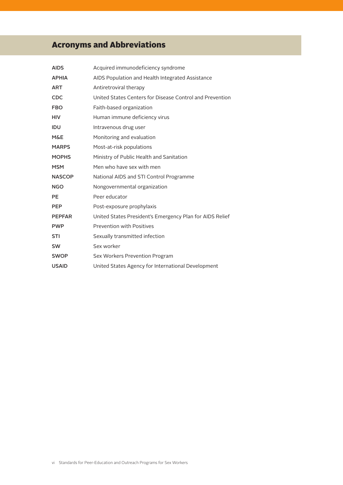## Acronyms and Abbreviations

| <b>AIDS</b>    | Acquired immunodeficiency syndrome                       |
|----------------|----------------------------------------------------------|
| <b>APHIA</b>   | AIDS Population and Health Integrated Assistance         |
| <b>ART</b>     | Antiretroviral therapy                                   |
| CDC            | United States Centers for Disease Control and Prevention |
| <b>FBO</b>     | Faith-based organization                                 |
| <b>HIV</b>     | Human immune deficiency virus                            |
| <b>IDU</b>     | Intravenous drug user                                    |
| <b>M&amp;E</b> | Monitoring and evaluation                                |
| <b>MARPS</b>   | Most-at-risk populations                                 |
| <b>MOPHS</b>   | Ministry of Public Health and Sanitation                 |
| <b>MSM</b>     | Men who have sex with men                                |
| <b>NASCOP</b>  | National AIDS and STI Control Programme                  |
| <b>NGO</b>     | Nongovernmental organization                             |
| <b>PE</b>      | Peer educator                                            |
| <b>PEP</b>     | Post-exposure prophylaxis                                |
| <b>PEPFAR</b>  | United States President's Emergency Plan for AIDS Relief |
| <b>PWP</b>     | <b>Prevention with Positives</b>                         |
| <b>STI</b>     | Sexually transmitted infection                           |
| <b>SW</b>      | Sex worker                                               |
| <b>SWOP</b>    | Sex Workers Prevention Program                           |
| <b>USAID</b>   | United States Agency for International Development       |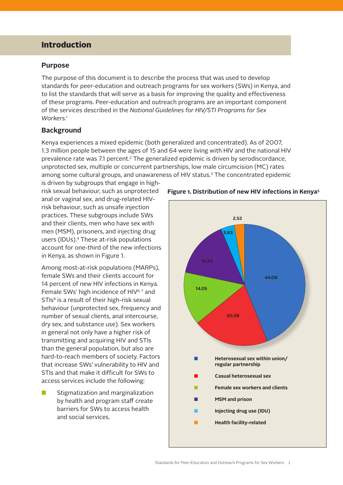## Introduction

#### **Purpose**

The purpose of this document is to describe the process that was used to develop standards for peer-education and outreach programs for sex workers (SWs) in Kenya, and to list the standards that will serve as a basis for improving the quality and effectiveness of these programs. Peer-education and outreach programs are an important component of the services described in the *National Guidelines for HIV/STI Programs for Sex Workers.1*

#### **Background**

Kenya experiences a mixed epidemic (both generalized and concentrated). As of 2007, 1.3 million people between the ages of 15 and 64 were living with HIV and the national HIV prevalence rate was 7.1 percent.<sup>2</sup> The generalized epidemic is driven by serodiscordance, unprotected sex, multiple or concurrent partnerships, low male circumcision (MC) rates among some cultural groups, and unawareness of HIV status.<sup>3</sup> The concentrated epidemic

is driven by subgroups that engage in highrisk sexual behaviour, such as unprotected anal or vaginal sex, and drug-related HIVrisk behaviour, such as unsafe injection practices. These subgroups include SWs and their clients, men who have sex with men (MSM), prisoners, and injecting drug users (IDUs).4 These at-risk populations account for one-third of the new infections in Kenya, as shown in Figure 1.

Among most-at-risk populations (MARPs), female SWs and their clients account for 14 percent of new HIV infections in Kenya. Female SWs' high incidence of HIV<sup>6,7</sup> and  $STIs<sup>8</sup>$  is a result of their high-risk sexual behaviour (unprotected sex, frequency and number of sexual clients, anal intercourse, dry sex, and substance use). Sex workers in general not only have a higher risk of transmitting and acquiring HIV and STIs than the general population, but also are hard-to-reach members of society. Factors that increase SWs' vulnerability to HIV and STIs and that make it difficult for SWs to access services include the following:

 $\blacksquare$  Stigmatization and marginalization by health and program staff create barriers for SWs to access health and social services.



#### **Figure 1. Distribution of new HIV infections in Kenya5**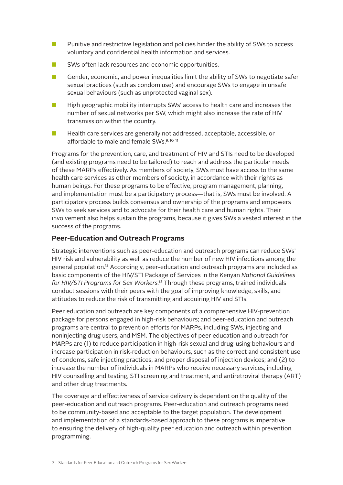- **n** Punitive and restrictive legislation and policies hinder the ability of SWs to access voluntary and confidential health information and services.
- $\blacksquare$  SWs often lack resources and economic opportunities.
- $\blacksquare$  Gender, economic, and power inequalities limit the ability of SWs to negotiate safer sexual practices (such as condom use) and encourage SWs to engage in unsafe sexual behaviours (such as unprotected vaginal sex).
- **N** High geographic mobility interrupts SWs' access to health care and increases the number of sexual networks per SW, which might also increase the rate of HIV transmission within the country.
- $\blacksquare$  Health care services are generally not addressed, acceptable, accessible, or affordable to male and female SWs.<sup>9.10, 11</sup>

Programs for the prevention, care, and treatment of HIV and STIs need to be developed (and existing programs need to be tailored) to reach and address the particular needs of these MARPs effectively. As members of society, SWs must have access to the same health care services as other members of society, in accordance with their rights as human beings. For these programs to be effective, program management, planning, and implementation must be a participatory process—that is, SWs must be involved. A participatory process builds consensus and ownership of the programs and empowers SWs to seek services and to advocate for their health care and human rights. Their involvement also helps sustain the programs, because it gives SWs a vested interest in the success of the programs.

#### **Peer-Education and Outreach Programs**

Strategic interventions such as peer-education and outreach programs can reduce SWs' HIV risk and vulnerability as well as reduce the number of new HIV infections among the general population.12 Accordingly, peer-education and outreach programs are included as basic components of the HIV/STI Package of Services in the Kenyan *National Guidelines for HIV/STI Programs for Sex Workers.13* Through these programs, trained individuals conduct sessions with their peers with the goal of improving knowledge, skills, and attitudes to reduce the risk of transmitting and acquiring HIV and STIs.

Peer education and outreach are key components of a comprehensive HIV-prevention package for persons engaged in high-risk behaviours; and peer-education and outreach programs are central to prevention efforts for MARPs, including SWs, injecting and noninjecting drug users, and MSM. The objectives of peer education and outreach for MARPs are (1) to reduce participation in high-risk sexual and drug-using behaviours and increase participation in risk-reduction behaviours, such as the correct and consistent use of condoms, safe injecting practices, and proper disposal of injection devices; and (2) to increase the number of individuals in MARPs who receive necessary services, including HIV counselling and testing, STI screening and treatment, and antiretroviral therapy (ART) and other drug treatments.

The coverage and effectiveness of service delivery is dependent on the quality of the peer-education and outreach programs. Peer-education and outreach programs need to be community-based and acceptable to the target population. The development and implementation of a standards-based approach to these programs is imperative to ensuring the delivery of high-quality peer education and outreach within prevention programming.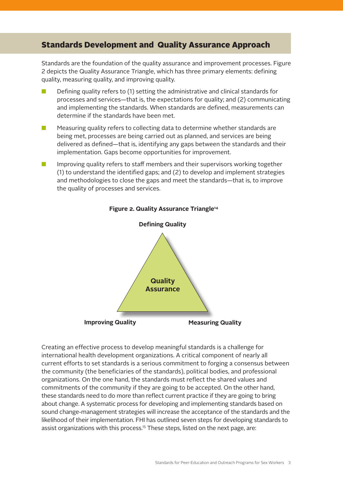## Standards Development and Quality Assurance Approach

Standards are the foundation of the quality assurance and improvement processes. Figure 2 depicts the Quality Assurance Triangle, which has three primary elements: defining quality, measuring quality, and improving quality.

- $\blacksquare$  Defining quality refers to (1) setting the administrative and clinical standards for processes and services—that is, the expectations for quality; and (2) communicating and implementing the standards. When standards are defined, measurements can determine if the standards have been met.
- $\blacksquare$  Measuring quality refers to collecting data to determine whether standards are being met, processes are being carried out as planned, and services are being delivered as defined—that is, identifying any gaps between the standards and their implementation. Gaps become opportunities for improvement.
- **n** Improving quality refers to staff members and their supervisors working together (1) to understand the identified gaps; and (2) to develop and implement strategies and methodologies to close the gaps and meet the standards—that is, to improve the quality of processes and services.



#### **Figure 2. Quality Assurance Triangle14**

Creating an effective process to develop meaningful standards is a challenge for international health development organizations. A critical component of nearly all current efforts to set standards is a serious commitment to forging a consensus between the community (the beneficiaries of the standards), political bodies, and professional organizations. On the one hand, the standards must reflect the shared values and commitments of the community if they are going to be accepted. On the other hand, these standards need to do more than reflect current practice if they are going to bring about change. A systematic process for developing and implementing standards based on sound change-management strategies will increase the acceptance of the standards and the likelihood of their implementation. FHI has outlined seven steps for developing standards to assist organizations with this process.<sup>15</sup> These steps, listed on the next page, are: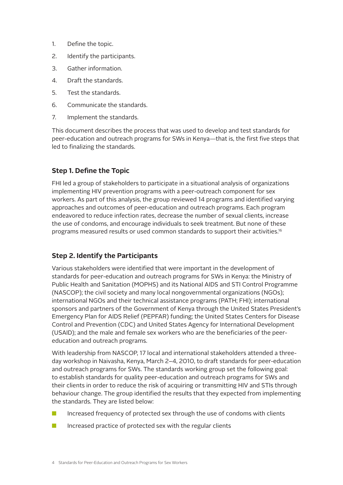- 1. Define the topic.
- 2. Identify the participants.
- 3. Gather information.
- 4. Draft the standards.
- 5. Test the standards.
- 6. Communicate the standards.
- 7. **Implement the standards.**

This document describes the process that was used to develop and test standards for peer-education and outreach programs for SWs in Kenya—that is, the first five steps that led to finalizing the standards.

## **Step 1. Define the Topic**

FHI led a group of stakeholders to participate in a situational analysis of organizations implementing HIV prevention programs with a peer-outreach component for sex workers. As part of this analysis, the group reviewed 14 programs and identified varying approaches and outcomes of peer-education and outreach programs. Each program endeavored to reduce infection rates, decrease the number of sexual clients, increase the use of condoms, and encourage individuals to seek treatment. But none of these programs measured results or used common standards to support their activities.16

## **Step 2. Identify the Participants**

Various stakeholders were identified that were important in the development of standards for peer-education and outreach programs for SWs in Kenya: the Ministry of Public Health and Sanitation (MOPHS) and its National AIDS and STI Control Programme (NASCOP); the civil society and many local nongovernmental organizations (NGOs); international NGOs and their technical assistance programs (PATH; FHI); international sponsors and partners of the Government of Kenya through the United States President's Emergency Plan for AIDS Relief (PEPFAR) funding; the United States Centers for Disease Control and Prevention (CDC) and United States Agency for International Development (USAID); and the male and female sex workers who are the beneficiaries of the peereducation and outreach programs.

With leadership from NASCOP, 17 local and international stakeholders attended a threeday workshop in Naivasha, Kenya, March 2–4, 2010, to draft standards for peer-education and outreach programs for SWs. The standards working group set the following goal: to establish standards for quality peer-education and outreach programs for SWs and their clients in order to reduce the risk of acquiring or transmitting HIV and STIs through behaviour change. The group identified the results that they expected from implementing the standards. They are listed below:

- $\blacksquare$  Increased frequency of protected sex through the use of condoms with clients
- $\blacksquare$  Increased practice of protected sex with the regular clients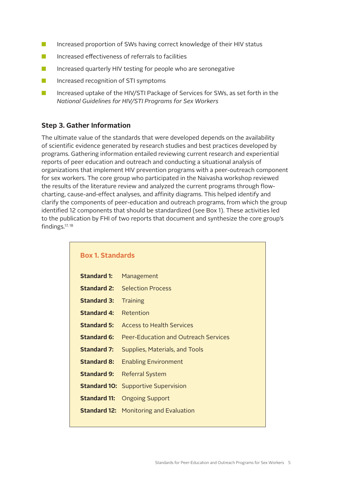- **n** Increased proportion of SWs having correct knowledge of their HIV status
- $\blacksquare$  Increased effectiveness of referrals to facilities
- $\blacksquare$  Increased quarterly HIV testing for people who are seronegative
- $\blacksquare$  Increased recognition of STI symptoms
- **n** Increased uptake of the HIV/STI Package of Services for SWs, as set forth in the *National Guidelines for HIV/STI Programs for Sex Workers*

#### **Step 3. Gather Information**

The ultimate value of the standards that were developed depends on the availability of scientific evidence generated by research studies and best practices developed by programs. Gathering information entailed reviewing current research and experiential reports of peer education and outreach and conducting a situational analysis of organizations that implement HIV prevention programs with a peer-outreach component for sex workers. The core group who participated in the Naivasha workshop reviewed the results of the literature review and analyzed the current programs through flowcharting, cause-and-effect analyses, and affinity diagrams. This helped identify and clarify the components of peer-education and outreach programs, from which the group identified 12 components that should be standardized (see Box 1). These activities led to the publication by FHI of two reports that document and synthesize the core group's findings.17, <sup>18</sup>

| <b>Box 1. Standards</b> |                                               |  |
|-------------------------|-----------------------------------------------|--|
| <b>Standard 1:</b>      | Management                                    |  |
| <b>Standard 2:</b>      | <b>Selection Process</b>                      |  |
| <b>Standard 3:</b>      | <b>Training</b>                               |  |
| Standard 4:             | Retention                                     |  |
| Standard 5:             | Access to Health Services                     |  |
| Standard 6:             | <b>Peer-Education and Outreach Services</b>   |  |
| <b>Standard 7:</b>      | Supplies, Materials, and Tools                |  |
| <b>Standard 8:</b>      | <b>Enabling Environment</b>                   |  |
| <b>Standard 9:</b>      | <b>Referral System</b>                        |  |
|                         | <b>Standard 10:</b> Supportive Supervision    |  |
| <b>Standard 11:</b>     | <b>Ongoing Support</b>                        |  |
|                         | <b>Standard 12: Monitoring and Evaluation</b> |  |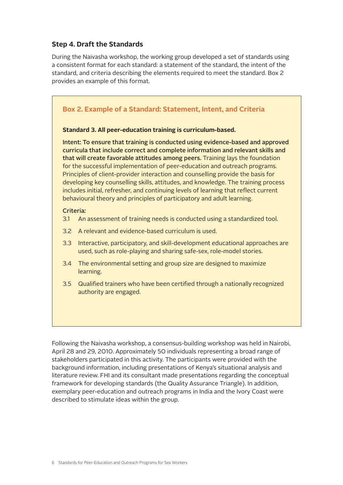## **Step 4. Draft the Standards**

During the Naivasha workshop, the working group developed a set of standards using a consistent format for each standard: a statement of the standard, the intent of the standard, and criteria describing the elements required to meet the standard. Box 2 provides an example of this format.

## **Box 2. Example of a Standard: Statement, Intent, and Criteria Standard 3. All peer-education training is curriculum-based.** Intent: To ensure that training is conducted using evidence-based and approved curricula that include correct and complete information and relevant skills and that will create favorable attitudes among peers. Training lays the foundation for the successful implementation of peer-education and outreach programs. Principles of client-provider interaction and counselling provide the basis for developing key counselling skills, attitudes, and knowledge. The training process includes initial, refresher, and continuing levels of learning that reflect current behavioural theory and principles of participatory and adult learning.

#### Criteria:

- 3.1 An assessment of training needs is conducted using a standardized tool.
- 3.2 A relevant and evidence-based curriculum is used.
- 3.3 Interactive, participatory, and skill-development educational approaches are used, such as role-playing and sharing safe-sex, role-model stories.
- 3.4 The environmental setting and group size are designed to maximize learning.
- 3.5 Qualified trainers who have been certified through a nationally recognized authority are engaged.

Following the Naivasha workshop, a consensus-building workshop was held in Nairobi, April 28 and 29, 2010. Approximately 50 individuals representing a broad range of stakeholders participated in this activity. The participants were provided with the background information, including presentations of Kenya's situational analysis and literature review. FHI and its consultant made presentations regarding the conceptual framework for developing standards (the Quality Assurance Triangle). In addition, exemplary peer-education and outreach programs in India and the Ivory Coast were described to stimulate ideas within the group.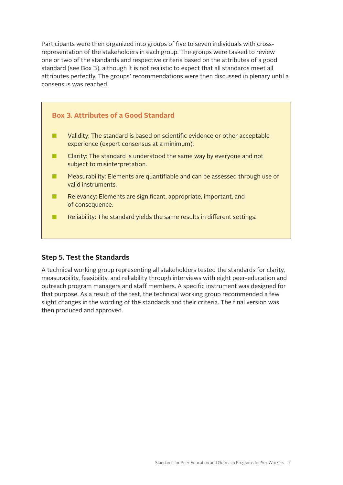Participants were then organized into groups of five to seven individuals with crossrepresentation of the stakeholders in each group. The groups were tasked to review one or two of the standards and respective criteria based on the attributes of a good standard (see Box 3), although it is not realistic to expect that all standards meet all attributes perfectly. The groups' recommendations were then discussed in plenary until a consensus was reached.

## **Box 3. Attributes of a Good Standard**

- **n** Validity: The standard is based on scientific evidence or other acceptable experience (expert consensus at a minimum).
- $\blacksquare$  Clarity: The standard is understood the same way by everyone and not subject to misinterpretation.
- $\blacksquare$  Measurability: Elements are quantifiable and can be assessed through use of valid instruments.
- $\blacksquare$  Relevancy: Elements are significant, appropriate, important, and of consequence.
- $\blacksquare$  Reliability: The standard yields the same results in different settings.

## **Step 5. Test the Standards**

A technical working group representing all stakeholders tested the standards for clarity, measurability, feasibility, and reliability through interviews with eight peer-education and outreach program managers and staff members. A specific instrument was designed for that purpose. As a result of the test, the technical working group recommended a few slight changes in the wording of the standards and their criteria. The final version was then produced and approved.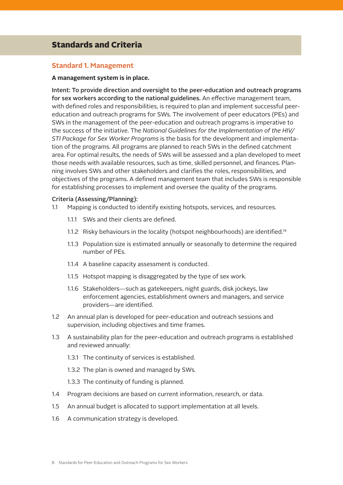## Standards and Criteria

#### **Standard 1. Management**

#### **A management system is in place.**

Intent: To provide direction and oversight to the peer-education and outreach programs for sex workers according to the national guidelines. An effective management team, with defined roles and responsibilities, is required to plan and implement successful peereducation and outreach programs for SWs. The involvement of peer educators (PEs) and SWs in the management of the peer-education and outreach programs is imperative to the success of the initiative. The *National Guidelines for the Implementation of the HIV/ STI Package for Sex Worker Programs* is the basis for the development and implementation of the programs. All programs are planned to reach SWs in the defined catchment area. For optimal results, the needs of SWs will be assessed and a plan developed to meet those needs with available resources, such as time, skilled personnel, and finances. Planning involves SWs and other stakeholders and clarifies the roles, responsibilities, and objectives of the programs. A defined management team that includes SWs is responsible for establishing processes to implement and oversee the quality of the programs.

#### Criteria (Assessing/Planning):

- 1.1 Mapping is conducted to identify existing hotspots, services, and resources.
	- 1.1.1 SWs and their clients are defined.
	- 1.1.2 Risky behaviours in the locality (hotspot neighbourhoods) are identified.<sup>19</sup>
	- 1.1.3 Population size is estimated annually or seasonally to determine the required number of PEs.
	- 1.1.4 A baseline capacity assessment is conducted.
	- 1.1.5 Hotspot mapping is disaggregated by the type of sex work.
	- 1.1.6 Stakeholders—such as gatekeepers, night guards, disk jockeys, law enforcement agencies, establishment owners and managers, and service providers—are identified.
- 1.2 An annual plan is developed for peer-education and outreach sessions and supervision, including objectives and time frames.
- 1.3 A sustainability plan for the peer-education and outreach programs is established and reviewed annually:
	- 1.3.1 The continuity of services is established.
	- 1.3.2 The plan is owned and managed by SWs.
	- 1.3.3 The continuity of funding is planned.
- 1.4 Program decisions are based on current information, research, or data.
- 1.5 An annual budget is allocated to support implementation at all levels.
- 1.6 A communication strategy is developed.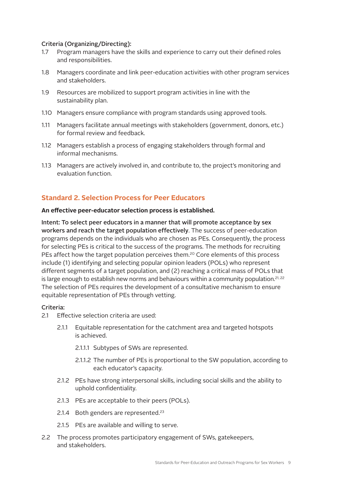#### Criteria (Organizing/Directing):

- 1.7 Program managers have the skills and experience to carry out their defined roles and responsibilities.
- 1.8 Managers coordinate and link peer-education activities with other program services and stakeholders.
- 1.9 Resources are mobilized to support program activities in line with the sustainability plan.
- 1.10 Managers ensure compliance with program standards using approved tools.
- 1.11 Managers facilitate annual meetings with stakeholders (government, donors, etc.) for formal review and feedback.
- 1.12 Managers establish a process of engaging stakeholders through formal and informal mechanisms.
- 1.13 Managers are actively involved in, and contribute to, the project's monitoring and evaluation function.

## **Standard 2. Selection Process for Peer Educators**

#### **An effective peer-educator selection process is established.**

Intent: To select peer educators in a manner that will promote acceptance by sex workers and reach the target population effectively. The success of peer-education programs depends on the individuals who are chosen as PEs. Consequently, the process for selecting PEs is critical to the success of the programs. The methods for recruiting PEs affect how the target population perceives them.<sup>20</sup> Core elements of this process include (1) identifying and selecting popular opinion leaders (POLs) who represent different segments of a target population, and (2) reaching a critical mass of POLs that is large enough to establish new norms and behaviours within a community population.<sup>21, 22</sup> The selection of PEs requires the development of a consultative mechanism to ensure equitable representation of PEs through vetting.

- 2.1 Effective selection criteria are used:
	- 2.1.1 Equitable representation for the catchment area and targeted hotspots is achieved.
		- 2.1.1.1 Subtypes of SWs are represented.
		- 2.1.1.2 The number of PEs is proportional to the SW population, according to each educator's capacity.
	- 2.1.2 PEs have strong interpersonal skills, including social skills and the ability to uphold confidentiality.
	- 2.1.3 PEs are acceptable to their peers (POLs).
	- 2.1.4 Both genders are represented. $23$
	- 2.1.5 PEs are available and willing to serve.
- 2.2 The process promotes participatory engagement of SWs, gatekeepers, and stakeholders.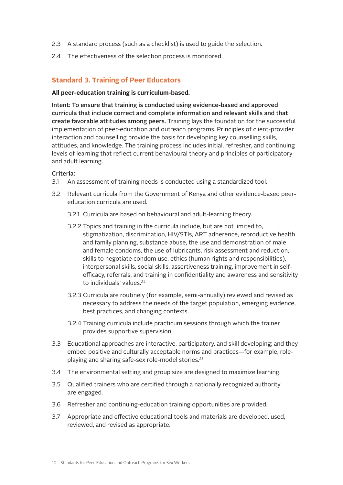- 2.3 A standard process (such as a checklist) is used to guide the selection.
- 2.4 The effectiveness of the selection process is monitored.

#### **Standard 3. Training of Peer Educators**

#### **All peer-education training is curriculum-based.**

Intent: To ensure that training is conducted using evidence-based and approved curricula that include correct and complete information and relevant skills and that create favorable attitudes among peers. Training lays the foundation for the successful implementation of peer-education and outreach programs. Principles of client-provider interaction and counselling provide the basis for developing key counselling skills, attitudes, and knowledge. The training process includes initial, refresher, and continuing levels of learning that reflect current behavioural theory and principles of participatory and adult learning.

- 3.1 An assessment of training needs is conducted using a standardized tool.
- 3.2 Relevant curricula from the Government of Kenya and other evidence-based peereducation curricula are used.
	- 3.2.1 Curricula are based on behavioural and adult-learning theory.
	- 3.2.2 Topics and training in the curricula include, but are not limited to, stigmatization, discrimination, HIV/STIs, ART adherence, reproductive health and family planning, substance abuse, the use and demonstration of male and female condoms, the use of lubricants, risk assessment and reduction, skills to negotiate condom use, ethics (human rights and responsibilities), interpersonal skills, social skills, assertiveness training, improvement in selfefficacy, referrals, and training in confidentiality and awareness and sensitivity to individuals' values.<sup>24</sup>
	- 3.2.3 Curricula are routinely (for example, semi-annually) reviewed and revised as necessary to address the needs of the target population, emerging evidence, best practices, and changing contexts.
	- 3.2.4 Training curricula include practicum sessions through which the trainer provides supportive supervision.
- 3.3 Educational approaches are interactive, participatory, and skill developing; and they embed positive and culturally acceptable norms and practices—for example, roleplaying and sharing safe-sex role-model stories.<sup>25</sup>
- 3.4 The environmental setting and group size are designed to maximize learning.
- 3.5 Qualified trainers who are certified through a nationally recognized authority are engaged.
- 3.6 Refresher and continuing-education training opportunities are provided.
- 3.7 Appropriate and effective educational tools and materials are developed, used, reviewed, and revised as appropriate.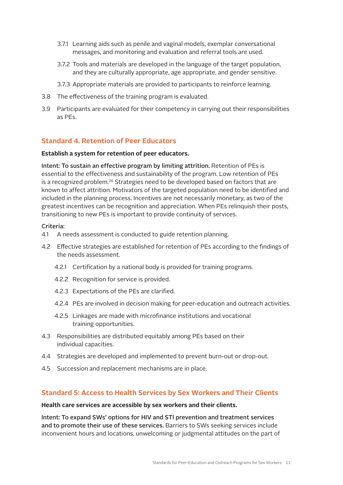- 3.7.1 Learning aids such as penile and vaginal models, exemplar conversational messages, and monitoring and evaluation and referral tools are used.
- 3.7.2 Tools and materials are developed in the language of the target population, and they are culturally appropriate, age appropriate, and gender sensitive.
- 3.7.3 Appropriate materials are provided to participants to reinforce learning.
- 3.8 The effectiveness of the training program is evaluated.
- 3.9 Participants are evaluated for their competency in carrying out their responsibilities as PEs.

#### **Standard 4. Retention of Peer Educators**

#### **Establish a system for retention of peer educators.**

Intent: To sustain an effective program by limiting attrition. Retention of PEs is essential to the effectiveness and sustainability of the program. Low retention of PEs is a recognized problem.26 Strategies need to be developed based on factors that are known to affect attrition. Motivators of the targeted population need to be identified and included in the planning process. Incentives are not necessarily monetary, as two of the greatest incentives can be recognition and appreciation. When PEs relinquish their posts, transitioning to new PEs is important to provide continuity of services.

#### Criteria:

- 4.1 A needs assessment is conducted to guide retention planning.
- 4.2 Effective strategies are established for retention of PEs according to the findings of the needs assessment.
	- 4.2.1 Certification by a national body is provided for training programs.
	- 4.2.2 Recognition for service is provided.
	- 4.2.3 Expectations of the PEs are clarified.
	- 4.2.4 PEs are involved in decision making for peer-education and outreach activities.
	- 4.2.5 Linkages are made with microfinance institutions and vocational training opportunities.
- 4.3 Responsibilities are distributed equitably among PEs based on their individual capacities.
- 4.4 Strategies are developed and implemented to prevent burn-out or drop-out.
- 4.5 Succession and replacement mechanisms are in place.

#### **Standard 5: Access to Health Services by Sex Workers and Their Clients**

#### **Health care services are accessible by sex workers and their clients.**

Intent: To expand SWs' options for HIV and STI prevention and treatment services and to promote their use of these services. Barriers to SWs seeking services include inconvenient hours and locations, unwelcoming or judgmental attitudes on the part of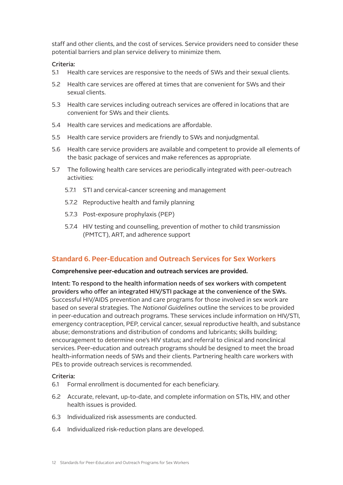staff and other clients, and the cost of services. Service providers need to consider these potential barriers and plan service delivery to minimize them.

#### Criteria:

- 5.1 Health care services are responsive to the needs of SWs and their sexual clients.
- 5.2 Health care services are offered at times that are convenient for SWs and their sexual clients.
- 5.3 Health care services including outreach services are offered in locations that are convenient for SWs and their clients.
- 5.4 Health care services and medications are affordable.
- 5.5 Health care service providers are friendly to SWs and nonjudgmental.
- 5.6 Health care service providers are available and competent to provide all elements of the basic package of services and make references as appropriate.
- 5.7 The following health care services are periodically integrated with peer-outreach activities:
	- 5.7.1 STI and cervical-cancer screening and management
	- 5.7.2 Reproductive health and family planning
	- 5.7.3 Post-exposure prophylaxis (PEP)
	- 5.7.4 HIV testing and counselling, prevention of mother to child transmission (PMTCT), ART, and adherence support

#### **Standard 6. Peer-Education and Outreach Services for Sex Workers**

#### **Comprehensive peer-education and outreach services are provided.**

Intent: To respond to the health information needs of sex workers with competent providers who offer an integrated HIV/STI package at the convenience of the SWs. Successful HIV/AIDS prevention and care programs for those involved in sex work are based on several strategies. The *National Guidelines* outline the services to be provided in peer-education and outreach programs. These services include information on HIV/STI, emergency contraception, PEP, cervical cancer, sexual reproductive health, and substance abuse; demonstrations and distribution of condoms and lubricants; skills building; encouragement to determine one's HIV status; and referral to clinical and nonclinical services. Peer-education and outreach programs should be designed to meet the broad health-information needs of SWs and their clients. Partnering health care workers with PEs to provide outreach services is recommended.

- 6.1 Formal enrollment is documented for each beneficiary.
- 6.2 Accurate, relevant, up-to-date, and complete information on STIs, HIV, and other health issues is provided.
- 6.3 Individualized risk assessments are conducted.
- 6.4 Individualized risk-reduction plans are developed.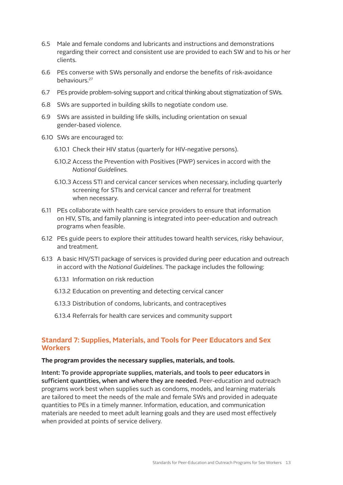- 6.5 Male and female condoms and lubricants and instructions and demonstrations regarding their correct and consistent use are provided to each SW and to his or her clients.
- 6.6 PEs converse with SWs personally and endorse the benefits of risk-avoidance behaviours.27
- 6.7 PEs provide problem-solving support and critical thinking about stigmatization of SWs.
- 6.8 SWs are supported in building skills to negotiate condom use.
- 6.9 SWs are assisted in building life skills, including orientation on sexual gender-based violence.
- 6.10 SWs are encouraged to:
	- 6.10.1 Check their HIV status (quarterly for HIV-negative persons).
	- 6.10.2 Access the Prevention with Positives (PWP) services in accord with the *National Guidelines.*
	- 6.10.3 Access STI and cervical cancer services when necessary, including quarterly screening for STIs and cervical cancer and referral for treatment when necessary.
- 6.11 PEs collaborate with health care service providers to ensure that information on HIV, STIs, and family planning is integrated into peer-education and outreach programs when feasible.
- 6.12 PEs guide peers to explore their attitudes toward health services, risky behaviour, and treatment.
- 6.13 A basic HIV/STI package of services is provided during peer education and outreach in accord with the *National Guidelines*. The package includes the following:
	- 6.13.1 Information on risk reduction
	- 6.13.2 Education on preventing and detecting cervical cancer
	- 6.13.3 Distribution of condoms, lubricants, and contraceptives
	- 6.13.4 Referrals for health care services and community support

## **Standard 7: Supplies, Materials, and Tools for Peer Educators and Sex Workers**

#### **The program provides the necessary supplies, materials, and tools.**

Intent: To provide appropriate supplies, materials, and tools to peer educators in sufficient quantities, when and where they are needed. Peer-education and outreach programs work best when supplies such as condoms, models, and learning materials are tailored to meet the needs of the male and female SWs and provided in adequate quantities to PEs in a timely manner. Information, education, and communication materials are needed to meet adult learning goals and they are used most effectively when provided at points of service delivery.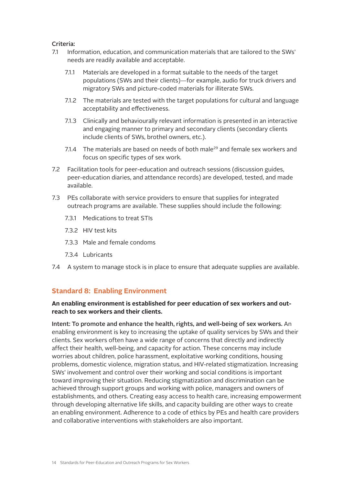#### Criteria:

- 7.1 Information, education, and communication materials that are tailored to the SWs' needs are readily available and acceptable.
	- 7.1.1 Materials are developed in a format suitable to the needs of the target populations (SWs and their clients)—for example, audio for truck drivers and migratory SWs and picture-coded materials for illiterate SWs.
	- 7.1.2 The materials are tested with the target populations for cultural and language acceptability and effectiveness.
	- 7.1.3 Clinically and behaviourally relevant information is presented in an interactive and engaging manner to primary and secondary clients (secondary clients include clients of SWs, brothel owners, etc.).
	- 7.1.4 The materials are based on needs of both male<sup>29</sup> and female sex workers and focus on specific types of sex work.
- 7.2 Facilitation tools for peer-education and outreach sessions (discussion guides, peer-education diaries, and attendance records) are developed, tested, and made available.
- 7.3 PEs collaborate with service providers to ensure that supplies for integrated outreach programs are available. These supplies should include the following:
	- 7.3.1 Medications to treat STIs
	- 7.3.2 HIV test kits
	- 7.3.3 Male and female condoms
	- 7.3.4 Lubricants
- 7.4 A system to manage stock is in place to ensure that adequate supplies are available.

## **Standard 8: Enabling Environment**

#### **An enabling environment is established for peer education of sex workers and outreach to sex workers and their clients.**

Intent: To promote and enhance the health, rights, and well-being of sex workers. An enabling environment is key to increasing the uptake of quality services by SWs and their clients. Sex workers often have a wide range of concerns that directly and indirectly affect their health, well-being, and capacity for action. These concerns may include worries about children, police harassment, exploitative working conditions, housing problems, domestic violence, migration status, and HIV-related stigmatization. Increasing SWs' involvement and control over their working and social conditions is important toward improving their situation. Reducing stigmatization and discrimination can be achieved through support groups and working with police, managers and owners of establishments, and others. Creating easy access to health care, increasing empowerment through developing alternative life skills, and capacity building are other ways to create an enabling environment. Adherence to a code of ethics by PEs and health care providers and collaborative interventions with stakeholders are also important.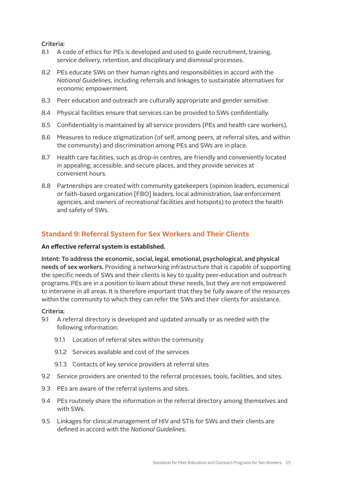#### Criteria:

- 8.1 A code of ethics for PEs is developed and used to guide recruitment, training, service delivery, retention, and disciplinary and dismissal processes.
- 8.2 PEs educate SWs on their human rights and responsibilities in accord with the *National Guidelines*, including referrals and linkages to sustainable alternatives for economic empowerment.
- 8.3 Peer education and outreach are culturally appropriate and gender sensitive.
- 8.4 Physical facilities ensure that services can be provided to SWs confidentially.
- 8.5 Confidentiality is maintained by all service providers (PEs and health care workers).
- 8.6 Measures to reduce stigmatization (of self, among peers, at referral sites, and within the community) and discrimination among PEs and SWs are in place.
- 8.7 Health care facilities, such as drop-in centres, are friendly and conveniently located in appealing, accessible, and secure places, and they provide services at convenient hours.
- 8.8 Partnerships are created with community gatekeepers (opinion leaders, ecumenical or faith-based organization [FBO] leaders, local administration, law enforcement agencies, and owners of recreational facilities and hotspots) to protect the health and safety of SWs.

## **Standard 9: Referral System for Sex Workers and Their Clients**

#### **An effective referral system is established.**

Intent: To address the economic, social, legal, emotional, psychological, and physical needs of sex workers. Providing a networking infrastructure that is capable of supporting the specific needs of SWs and their clients is key to quality peer-education and outreach programs. PEs are in a position to learn about these needs, but they are not empowered to intervene in all areas. It is therefore important that they be fully aware of the resources within the community to which they can refer the SWs and their clients for assistance.

- 9.1 A referral directory is developed and updated annually or as needed with the following information:
	- 9.1.1 Location of referral sites within the community
	- 9.1.2 Services available and cost of the services
	- 9.1.3 Contacts of key service providers at referral sites
- 9.2 Service providers are oriented to the referral processes, tools, facilities, and sites.
- 9.3 PEs are aware of the referral systems and sites.
- 9.4 PEs routinely share the information in the referral directory among themselves and with SWs.
- 9.5 Linkages for clinical management of HIV and STIs for SWs and their clients are defined in accord with the *National Guidelines*.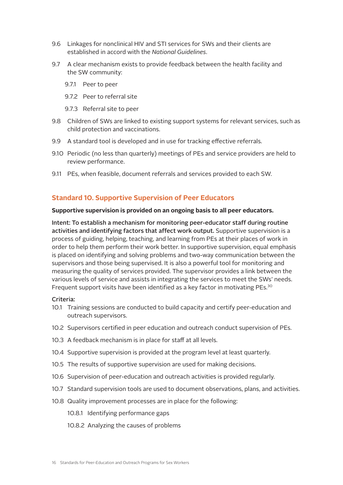- 9.6 Linkages for nonclinical HIV and STI services for SWs and their clients are established in accord with the *National Guidelines*.
- 9.7 A clear mechanism exists to provide feedback between the health facility and the SW community:
	- 9.7.1 Peer to peer
	- 9.7.2 Peer to referral site
	- 9.7.3 Referral site to peer
- 9.8 Children of SWs are linked to existing support systems for relevant services, such as child protection and vaccinations.
- 9.9 A standard tool is developed and in use for tracking effective referrals.
- 9.10 Periodic (no less than quarterly) meetings of PEs and service providers are held to review performance.
- 9.11 PEs, when feasible, document referrals and services provided to each SW.

#### **Standard 10. Supportive Supervision of Peer Educators**

#### **Supportive supervision is provided on an ongoing basis to all peer educators.**

Intent: To establish a mechanism for monitoring peer-educator staff during routine activities and identifying factors that affect work output. Supportive supervision is a process of guiding, helping, teaching, and learning from PEs at their places of work in order to help them perform their work better. In supportive supervision, equal emphasis is placed on identifying and solving problems and two-way communication between the supervisors and those being supervised. It is also a powerful tool for monitoring and measuring the quality of services provided. The supervisor provides a link between the various levels of service and assists in integrating the services to meet the SWs' needs. Frequent support visits have been identified as a key factor in motivating PEs.30

- 10.1 Training sessions are conducted to build capacity and certify peer-education and outreach supervisors.
- 10.2 Supervisors certified in peer education and outreach conduct supervision of PEs.
- 10.3 A feedback mechanism is in place for staff at all levels.
- 10.4 Supportive supervision is provided at the program level at least quarterly.
- 10.5 The results of supportive supervision are used for making decisions.
- 10.6 Supervision of peer-education and outreach activities is provided regularly.
- 10.7 Standard supervision tools are used to document observations, plans, and activities.
- 10.8 Quality improvement processes are in place for the following:
	- 10.8.1 Identifying performance gaps
	- 10.8.2 Analyzing the causes of problems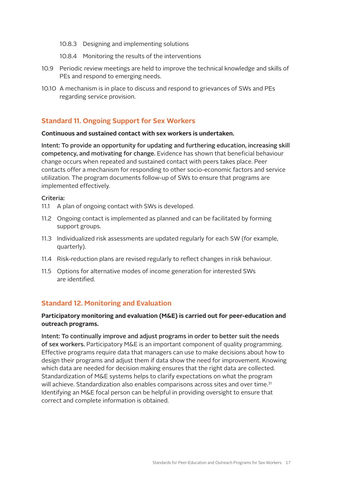- 10.8.3 Designing and implementing solutions
- 10.8.4 Monitoring the results of the interventions
- 10.9 Periodic review meetings are held to improve the technical knowledge and skills of PEs and respond to emerging needs.
- 10.10 A mechanism is in place to discuss and respond to grievances of SWs and PEs regarding service provision.

## **Standard 11. Ongoing Support for Sex Workers**

#### **Continuous and sustained contact with sex workers is undertaken.**

Intent: To provide an opportunity for updating and furthering education, increasing skill competency, and motivating for change. Evidence has shown that beneficial behaviour change occurs when repeated and sustained contact with peers takes place. Peer contacts offer a mechanism for responding to other socio-economic factors and service utilization. The program documents follow-up of SWs to ensure that programs are implemented effectively.

#### Criteria:

- 11.1 A plan of ongoing contact with SWs is developed.
- 11.2 Ongoing contact is implemented as planned and can be facilitated by forming support groups.
- 11.3 Individualized risk assessments are updated regularly for each SW (for example, quarterly).
- 11.4 Risk-reduction plans are revised regularly to reflect changes in risk behaviour.
- 11.5 Options for alternative modes of income generation for interested SWs are identified.

#### **Standard 12. Monitoring and Evaluation**

#### **Participatory monitoring and evaluation (M&E) is carried out for peer-education and outreach programs.**

Intent: To continually improve and adjust programs in order to better suit the needs of sex workers. Participatory M&E is an important component of quality programming. Effective programs require data that managers can use to make decisions about how to design their programs and adjust them if data show the need for improvement. Knowing which data are needed for decision making ensures that the right data are collected. Standardization of M&E systems helps to clarify expectations on what the program will achieve. Standardization also enables comparisons across sites and over time.<sup>31</sup> Identifying an M&E focal person can be helpful in providing oversight to ensure that correct and complete information is obtained.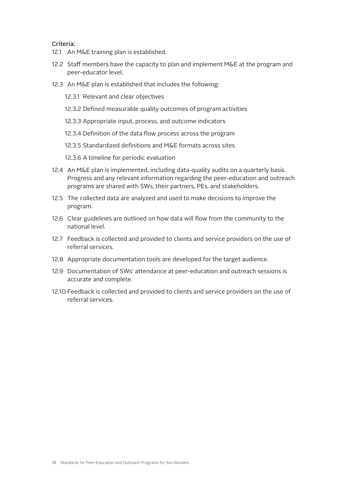- 12.1 An M&E training plan is established.
- 12.2 Staff members have the capacity to plan and implement M&E at the program and peer-educator level.
- 12.3 An M&E plan is established that includes the following:
	- 12.3.1 Relevant and clear objectives
	- 12.3.2 Defined measurable quality outcomes of program activities
	- 12.3.3 Appropriate input, process, and outcome indicators
	- 12.3.4 Definition of the data flow process across the program
	- 12.3.5 Standardized definitions and M&E formats across sites
	- 12.3.6 A timeline for periodic evaluation
- 12.4 An M&E plan is implemented, including data-quality audits on a quarterly basis. Progress and any relevant information regarding the peer-education and outreach programs are shared with SWs, their partners, PEs, and stakeholders.
- 12.5 The collected data are analyzed and used to make decisions to improve the program.
- 12.6 Clear guidelines are outlined on how data will flow from the community to the national level.
- 12.7 Feedback is collected and provided to clients and service providers on the use of referral services.
- 12.8 Appropriate documentation tools are developed for the target audience.
- 12.9 Documentation of SWs' attendance at peer-education and outreach sessions is accurate and complete.
- 12.10 Feedback is collected and provided to clients and service providers on the use of referral services.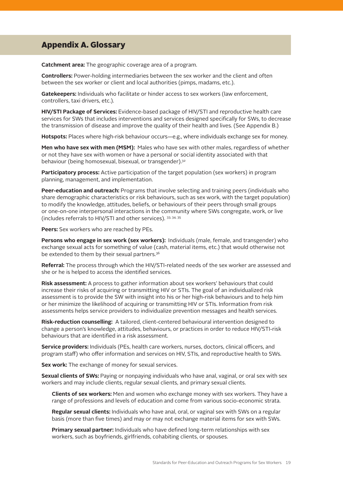## Appendix A. Glossary

**Catchment area:** The geographic coverage area of a program.

**Controllers:** Power-holding intermediaries between the sex worker and the client and often between the sex worker or client and local authorities (pimps, madams, etc.).

**Gatekeepers:** Individuals who facilitate or hinder access to sex workers (law enforcement, controllers, taxi drivers, etc.).

**HIV/STI Package of Services:** Evidence-based package of HIV/STI and reproductive health care services for SWs that includes interventions and services designed specifically for SWs, to decrease the transmission of disease and improve the quality of their health and lives. (See Appendix B.)

**Hotspots:** Places where high-risk behaviour occurs—e.g., where individuals exchange sex for money.

**Men who have sex with men (MSM):** Males who have sex with other males, regardless of whether or not they have sex with women or have a personal or social identity associated with that behaviour (being homosexual, bisexual, or transgender).<sup>32</sup>

**Participatory process:** Active participation of the target population (sex workers) in program planning, management, and implementation.

**Peer-education and outreach:** Programs that involve selecting and training peers (individuals who share demographic characteristics or risk behaviours, such as sex work, with the target population) to modify the knowledge, attitudes, beliefs, or behaviours of their peers through small groups or one-on-one interpersonal interactions in the community where SWs congregate, work, or live (includes referrals to HIV/STI and other services). 33, 34, 35

**Peers:** Sex workers who are reached by PEs.

**Persons who engage in sex work (sex workers):** Individuals (male, female, and transgender) who exchange sexual acts for something of value (cash, material items, etc.) that would otherwise not be extended to them by their sexual partners.<sup>36</sup>

**Referral:** The process through which the HIV/STI-related needs of the sex worker are assessed and she or he is helped to access the identified services.

**Risk assessment:** A process to gather information about sex workers' behaviours that could increase their risks of acquiring or transmitting HIV or STIs. The goal of an individualized risk assessment is to provide the SW with insight into his or her high-risk behaviours and to help him or her minimize the likelihood of acquiring or transmitting HIV or STIs. Information from risk assessments helps service providers to individualize prevention messages and health services.

**Risk-reduction counselling:** A tailored, client-centered behavioural intervention designed to change a person's knowledge, attitudes, behaviours, or practices in order to reduce HIV/STI-risk behaviours that are identified in a risk assessment.

**Service providers:** Individuals (PEs, health care workers, nurses, doctors, clinical officers, and program staff) who offer information and services on HIV, STIs, and reproductive health to SWs.

**Sex work:** The exchange of money for sexual services.

**Sexual clients of SWs:** Paying or nonpaying individuals who have anal, vaginal, or oral sex with sex workers and may include clients, regular sexual clients, and primary sexual clients.

**Clients of sex workers:** Men and women who exchange money with sex workers. They have a range of professions and levels of education and come from various socio-economic strata.

**Regular sexual clients:** Individuals who have anal, oral, or vaginal sex with SWs on a regular basis (more than five times) and may or may not exchange material items for sex with SWs.

**Primary sexual partner:** Individuals who have defined long-term relationships with sex workers, such as boyfriends, girlfriends, cohabiting clients, or spouses.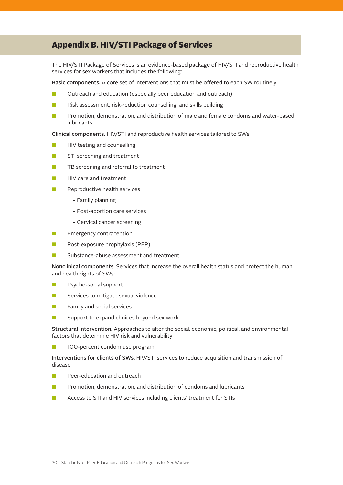## Appendix B. HIV/STI Package of Services

The HIV/STI Package of Services is an evidence-based package of HIV/STI and reproductive health services for sex workers that includes the following:

Basic components. A core set of interventions that must be offered to each SW routinely:

- $\Box$  Outreach and education (especially peer education and outreach)
- $\blacksquare$  Risk assessment, risk-reduction counselling, and skills building
- **n** Promotion, demonstration, and distribution of male and female condoms and water-based lubricants

Clinical components. HIV/STI and reproductive health services tailored to SWs:

- $\blacksquare$  HIV testing and counselling
- **n** STI screening and treatment
- **n** TB screening and referral to treatment
- HIV care and treatment
- Reproductive health services
	- Family planning
	- Post-abortion care services
	- Cervical cancer screening
- **n** Emergency contraception
- $\blacksquare$  Post-exposure prophylaxis (PEP)
- **n** Substance-abuse assessment and treatment

Nonclinical components. Services that increase the overall health status and protect the human and health rights of SWs:

- **n** Psycho-social support
- $\blacksquare$  Services to mitigate sexual violence
- $\blacksquare$  Family and social services
- $\blacksquare$  Support to expand choices beyond sex work

Structural intervention. Approaches to alter the social, economic, political, and environmental factors that determine HIV risk and vulnerability:

**n** 100-percent condom use program

Interventions for clients of SWs. HIV/STI services to reduce acquisition and transmission of disease:

- **n** Peer-education and outreach
- **n** Promotion, demonstration, and distribution of condoms and lubricants
- Access to STI and HIV services including clients' treatment for STIs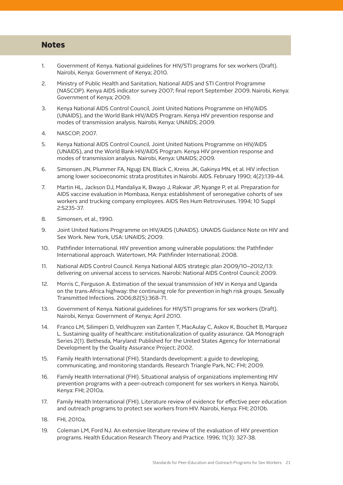#### **Notes**

- 1. Government of Kenya. National guidelines for HIV/STI programs for sex workers (Draft). Nairobi, Kenya: Government of Kenya; 2010.
- 2. Ministry of Public Health and Sanitation, National AIDS and STI Control Programme (NASCOP). Kenya AIDS indicator survey 2007; final report September 2009. Nairobi, Kenya: Government of Kenya; 2009.
- 3. Kenya National AIDS Control Council, Joint United Nations Programme on HIV/AIDS (UNAIDS), and the World Bank HIV/AIDS Program. Kenya HIV prevention response and modes of transmission analysis. Nairobi, Kenya: UNAIDS; 2009.
- 4. NASCOP, 2007.
- 5. Kenya National AIDS Control Council, Joint United Nations Programme on HIV/AIDS (UNAIDS), and the World Bank HIV/AIDS Program. Kenya HIV prevention response and modes of transmission analysis. Nairobi, Kenya: UNAIDS; 2009.
- 6. Simonsen JN, Plummer FA, Ngugi EN, Black C, Kreiss JK, Gakinya MN, et al. HIV infection among lower socioeconomic strata prostitutes in Nairobi. AIDS. February 1990; 4(2):139-44.
- 7. Martin HL, Jackson DJ, Mandaliya K, Bwayo J, Rakwar JP, Nyange P, et al. Preparation for AIDS vaccine evaluation in Mombasa, Kenya: establishment of seronegative cohorts of sex workers and trucking company employees. AIDS Res Hum Retroviruses. 1994; 10 Suppl 2:S235-37.
- 8. Simonsen, et al., 1990.
- 9. Joint United Nations Programme on HIV/AIDS (UNAIDS). UNAIDS Guidance Note on HIV and Sex Work. New York, USA: UNAIDS; 2009.
- 10. Pathfinder International. HIV prevention among vulnerable populations: the Pathfinder International approach. Watertown, MA: Pathfinder International; 2008.
- 11. National AIDS Control Council. Kenya National AIDS strategic plan 2009/10–2012/13: delivering on universal access to services. Nairobi: National AIDS Control Council; 2009.
- 12. Morris C, Ferguson A. Estimation of the sexual transmission of HIV in Kenya and Uganda on the trans-Africa highway: the continuing role for prevention in high risk groups. Sexually Transmitted Infections. 2006;82(5):368-71.
- 13. Government of Kenya. National guidelines for HIV/STI programs for sex workers (Draft). Nairobi, Kenya: Government of Kenya; April 2010.
- 14. Franco LM, Silimperi D, Veldhuyzen van Zanten T, MacAulay C, Askov K, Bouchet B, Marquez L. Sustaining quality of healthcare: institutionalization of quality assurance. QA Monograph Series 2(1). Bethesda, Maryland: Published for the United States Agency for International Development by the Quality Assurance Project; 2002.
- 15. Family Health International (FHI). Standards development: a guide to developing, communicating, and monitoring standards. Research Triangle Park, NC: FHI; 2009.
- 16. Family Health International (FHI). Situational analysis of organizations implementing HIV prevention programs with a peer-outreach component for sex workers in Kenya. Nairobi, Kenya: FHI; 2010a.
- 17. Family Health International (FHI). Literature review of evidence for effective peer education and outreach programs to protect sex workers from HIV. Nairobi, Kenya: FHI; 2010b.
- 18. FHI, 2010a.
- 19. Coleman LM, Ford NJ. An extensive literature review of the evaluation of HIV prevention programs. Health Education Research Theory and Practice. 1996; 11(3): 327-38.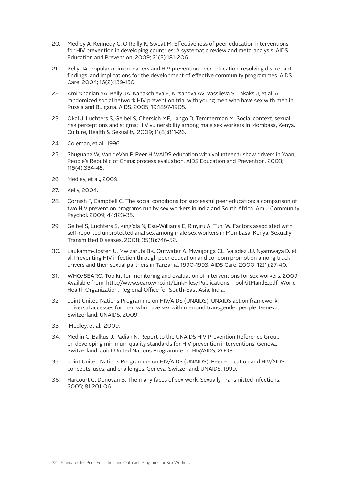- 20. Medley A, Kennedy C, O'Reilly K, Sweat M. Effectiveness of peer education interventions for HIV prevention in developing countries: A systematic review and meta-analysis. AIDS Education and Prevention. 2009; 21(3):181-206.
- 21. Kelly JA. Popular opinion leaders and HIV prevention peer education: resolving discrepant findings, and implications for the development of effective community programmes. AIDS Care. 2004; 16(2):139-150.
- 22. Amirkhanian YA, Kelly JA, Kabakchieva E, Kirsanova AV, Vassileva S, Takaks J, et al. A randomized social network HIV prevention trial with young men who have sex with men in Russia and Bulgaria. AIDS. 2005; 19:1897-1905.
- 23. Okal J, Luchters S, Geibel S, Chersich MF, Lango D, Temmerman M. Social context, sexual risk perceptions and stigma: HIV vulnerability among male sex workers in Mombasa, Kenya. Culture, Health & Sexuality. 2009; 11(8):811-26.
- 24. Coleman, et al., 1996.
- 25. Shuguang W, Van deVan P. Peer HIV/AIDS education with volunteer trishaw drivers in Yaan, People's Republic of China: process evaluation. AIDS Education and Prevention. 2003; 115(4):334-45.
- 26. Medley, et al., 2009.
- 27. Kelly, 2004.
- 28. Cornish F, Campbell C. The social conditions for successful peer education: a comparison of two HIV prevention programs run by sex workers in India and South Africa. Am J Community Psychol. 2009; 44:123-35.
- 29. Geibel S, Luchters S, King'ola N, Esu-Williams E, Rinyiru A, Tun, W. Factors associated with self-reported unprotected anal sex among male sex workers in Mombasa, Kenya. Sexually Transmitted Diseases. 2008; 35(8):746-52.
- 30. Laukamm-Josten U, Mwizarubi BK, Outwater A, Mwaijonga CL, Valadez JJ, Nyamwaya D, et al. Preventing HIV infection through peer education and condom promotion among truck drivers and their sexual partners in Tanzania, 1990-1993. AIDS Care. 2000; 12(1):27-40.
- 31. WHO/SEARO. Toolkit for monitoring and evaluation of interventions for sex workers. 2009. Available from: http://www.searo.who.int/LinkFiles/Publications\_ToolKitMandE.pdf World Health Organization, Regional Office for South-East Asia, India.
- 32. Joint United Nations Programme on HIV/AIDS (UNAIDS). UNAIDS action framework: universal accesses for men who have sex with men and transgender people. Geneva, Switzerland: UNAIDS, 2009.
- 33. Medley, et al., 2009.
- 34. Medlin C, Balkus J, Padian N. Report to the UNAIDS HIV Prevention Reference Group on developing minimum quality standards for HIV prevention interventions. Geneva, Switzerland: Joint United Nations Programme on HIV/AIDS, 2008.
- 35. Joint United Nations Programme on HIV/AIDS (UNAIDS). Peer education and HIV/AIDS: concepts, uses, and challenges. Geneva, Switzerland: UNAIDS, 1999.
- 36. Harcourt C, Donovan B. The many faces of sex work. Sexually Transmitted Infections. 2005; 81:201-06.